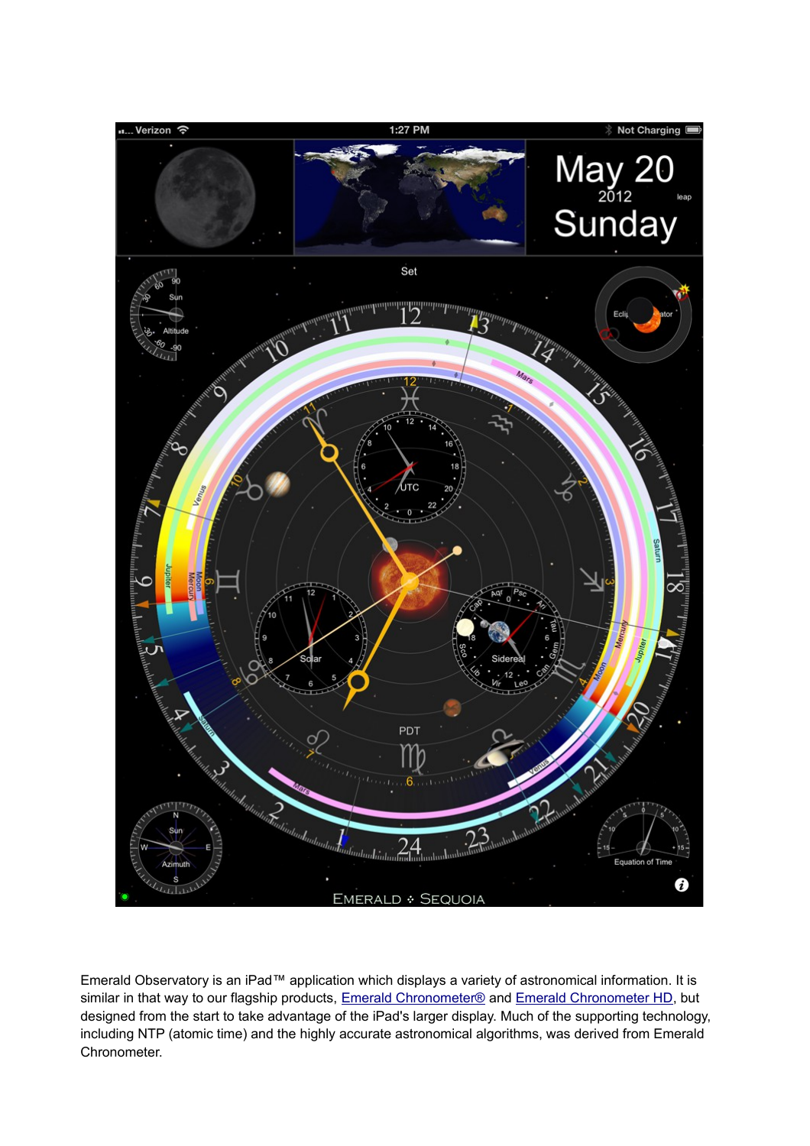

Emerald Observatory is an iPad™ application which displays a variety of astronomical information. It is similar in that way to our flagship products, [Emerald Chronometer®](http://emeraldsequoia.com/h/index.html) and [Emerald Chronometer HD,](http://emeraldsequoia.com/h/echd.html) but designed from the start to take advantage of the iPad's larger display. Much of the supporting technology, including NTP (atomic time) and the highly accurate astronomical algorithms, was derived from Emerald Chronometer.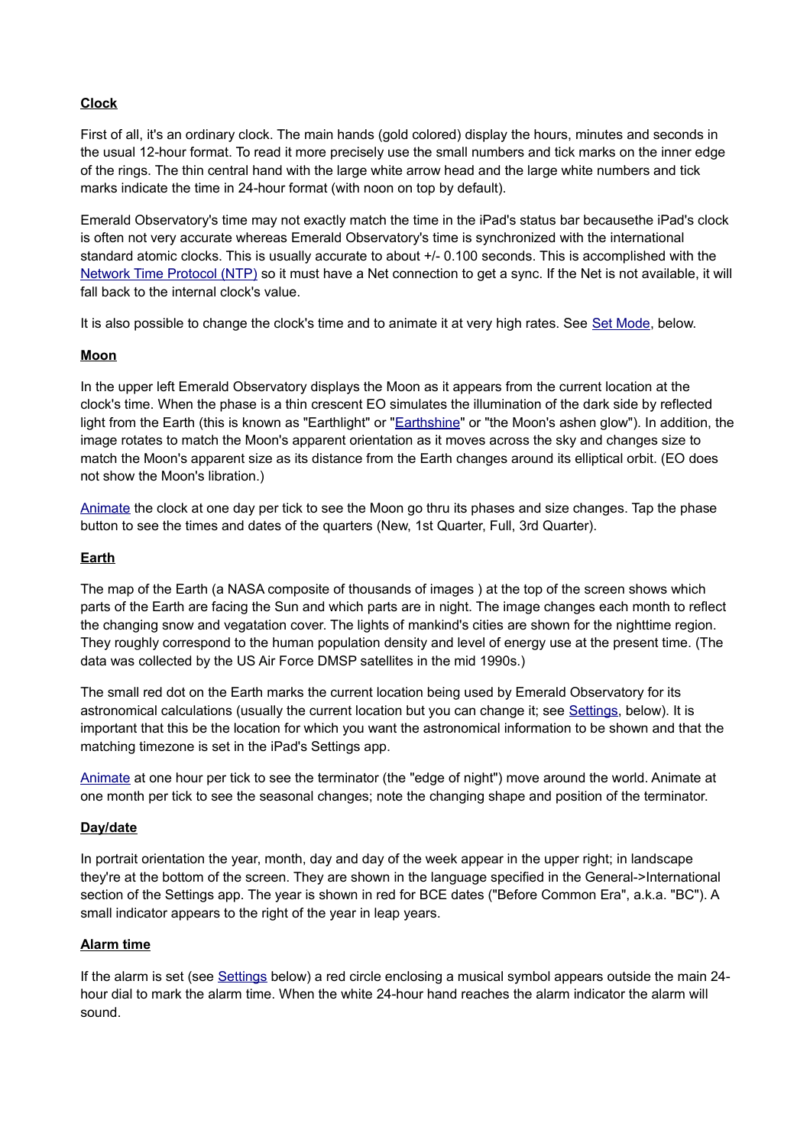# **Clock**

First of all, it's an ordinary clock. The main hands (gold colored) display the hours, minutes and seconds in the usual 12-hour format. To read it more precisely use the small numbers and tick marks on the inner edge of the rings. The thin central hand with the large white arrow head and the large white numbers and tick marks indicate the time in 24-hour format (with noon on top by default).

Emerald Observatory's time may not exactly match the time in the iPad's status bar becausethe iPad's clock is often not very accurate whereas Emerald Observatory's time is synchronized with the international standard atomic clocks. This is usually accurate to about +/- 0.100 seconds. This is accomplished with the [Network Time Protocol \(NTP\)](http://en.wikipedia.org/wiki/Network_Time_Protocol) so it must have a Net connection to get a sync. If the Net is not available, it will fall back to the internal clock's value.

It is also possible to change the clock's time and to animate it at very high rates. See [Set Mode,](#page-5-1) below.

### **Moon**

In the upper left Emerald Observatory displays the Moon as it appears from the current location at the clock's time. When the phase is a thin crescent EO simulates the illumination of the dark side by reflected light from the Earth (this is known as "Earthlight" or ["Earthshine"](http://en.wikipedia.org/wiki/Earthshine#Earthshine) or "the Moon's ashen glow"). In addition, the image rotates to match the Moon's apparent orientation as it moves across the sky and changes size to match the Moon's apparent size as its distance from the Earth changes around its elliptical orbit. (EO does not show the Moon's libration.)

[Animate](#page-5-0) the clock at one day per tick to see the Moon go thru its phases and size changes. Tap the phase button to see the times and dates of the quarters (New, 1st Quarter, Full, 3rd Quarter).

### **Earth**

The map of the Earth (a NASA composite of thousands of images ) at the top of the screen shows which parts of the Earth are facing the Sun and which parts are in night. The image changes each month to reflect the changing snow and vegatation cover. The lights of mankind's cities are shown for the nighttime region. They roughly correspond to the human population density and level of energy use at the present time. (The data was collected by the US Air Force DMSP satellites in the mid 1990s.)

The small red dot on the Earth marks the current location being used by Emerald Observatory for its astronomical calculations (usually the current location but you can change it; see [Settings,](#page-6-0) below). It is important that this be the location for which you want the astronomical information to be shown and that the matching timezone is set in the iPad's Settings app.

[Animate](#page-5-0) at one hour per tick to see the terminator (the "edge of night") move around the world. Animate at one month per tick to see the seasonal changes; note the changing shape and position of the terminator.

#### **Day/date**

In portrait orientation the year, month, day and day of the week appear in the upper right; in landscape they're at the bottom of the screen. They are shown in the language specified in the General->International section of the Settings app. The year is shown in red for BCE dates ("Before Common Era", a.k.a. "BC"). A small indicator appears to the right of the year in leap years.

#### **Alarm time**

If the alarm is set (see [Settings](#page-6-0) below) a red circle enclosing a musical symbol appears outside the main 24 hour dial to mark the alarm time. When the white 24-hour hand reaches the alarm indicator the alarm will sound.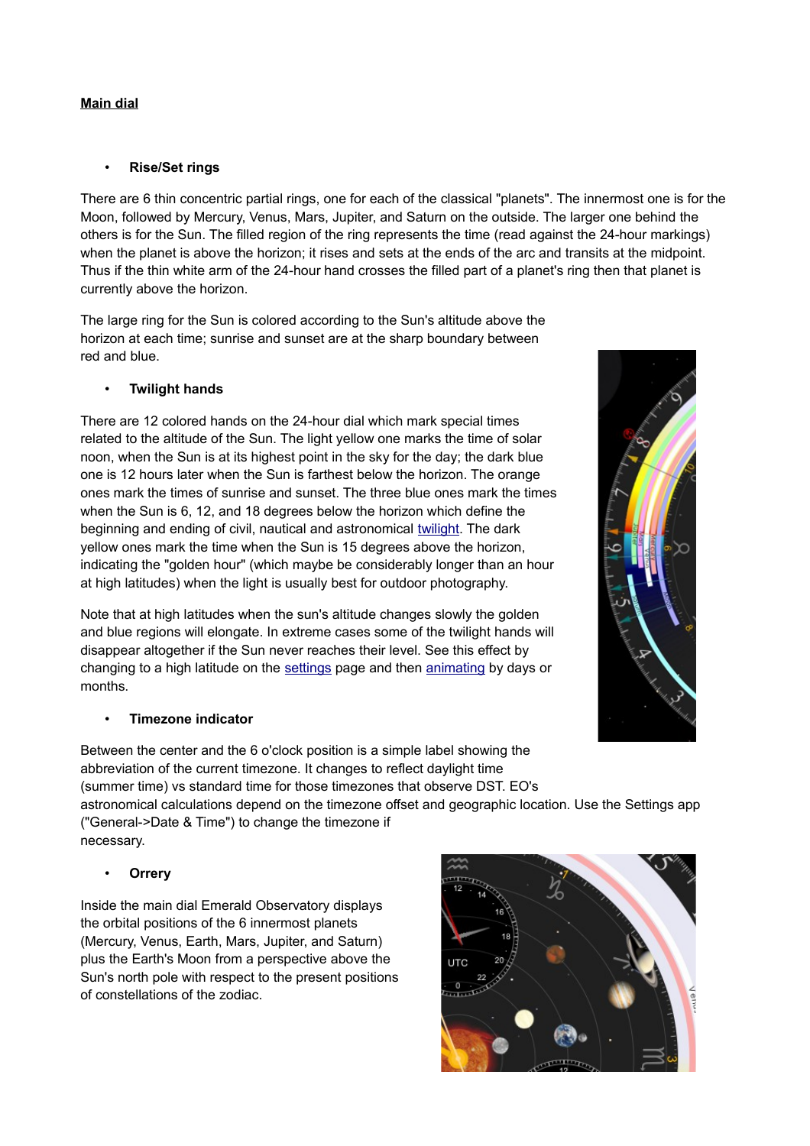# **Main dial**

## • **Rise/Set rings**

There are 6 thin concentric partial rings, one for each of the classical "planets". The innermost one is for the Moon, followed by Mercury, Venus, Mars, Jupiter, and Saturn on the outside. The larger one behind the others is for the Sun. The filled region of the ring represents the time (read against the 24-hour markings) when the planet is above the horizon; it rises and sets at the ends of the arc and transits at the midpoint. Thus if the thin white arm of the 24-hour hand crosses the filled part of a planet's ring then that planet is currently above the horizon.

The large ring for the Sun is colored according to the Sun's altitude above the horizon at each time; sunrise and sunset are at the sharp boundary between red and blue.

## • **Twilight hands**

There are 12 colored hands on the 24-hour dial which mark special times related to the altitude of the Sun. The light yellow one marks the time of solar noon, when the Sun is at its highest point in the sky for the day; the dark blue one is 12 hours later when the Sun is farthest below the horizon. The orange ones mark the times of sunrise and sunset. The three blue ones mark the times when the Sun is 6, 12, and 18 degrees below the horizon which define the beginning and ending of civil, nautical and astronomical [twilight.](http://en.wikipedia.org/wiki/Twilight) The dark yellow ones mark the time when the Sun is 15 degrees above the horizon, indicating the "golden hour" (which maybe be considerably longer than an hour at high latitudes) when the light is usually best for outdoor photography.

Note that at high latitudes when the sun's altitude changes slowly the golden and blue regions will elongate. In extreme cases some of the twilight hands will disappear altogether if the Sun never reaches their level. See this effect by changing to a high latitude on the [settings](#page-6-0) page and then [animating](#page-5-0) by days or months.

### • **Timezone indicator**

Between the center and the 6 o'clock position is a simple label showing the abbreviation of the current timezone. It changes to reflect daylight time (summer time) vs standard time for those timezones that observe DST. EO's

astronomical calculations depend on the timezone offset and geographic location. Use the Settings app ("General->Date & Time") to change the timezone if necessary.

### • **Orrery**

Inside the main dial Emerald Observatory displays the orbital positions of the 6 innermost planets (Mercury, Venus, Earth, Mars, Jupiter, and Saturn) plus the Earth's Moon from a perspective above the Sun's north pole with respect to the present positions of constellations of the zodiac.



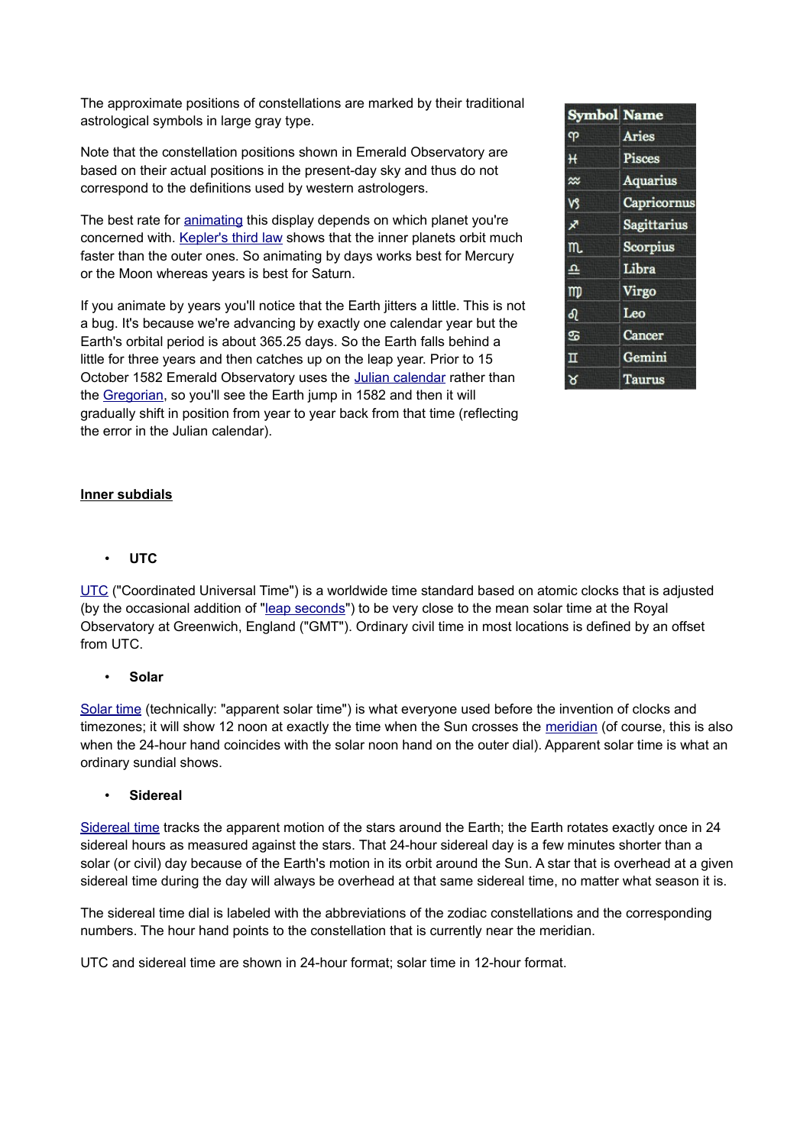The approximate positions of constellations are marked by their traditional astrological symbols in large gray type.

Note that the constellation positions shown in Emerald Observatory are based on their actual positions in the present-day sky and thus do not correspond to the definitions used by western astrologers.

The best rate for [animating](#page-5-0) this display depends on which planet you're concerned with. [Kepler's third law](http://en.wikipedia.org/wiki/Kepler) shows that the inner planets orbit much faster than the outer ones. So animating by days works best for Mercury or the Moon whereas years is best for Saturn.

If you animate by years you'll notice that the Earth jitters a little. This is not a bug. It's because we're advancing by exactly one calendar year but the Earth's orbital period is about 365.25 days. So the Earth falls behind a little for three years and then catches up on the leap year. Prior to 15 October 1582 Emerald Observatory uses the [Julian calendar](http://en.wikipedia.org/wiki/Julian_calendar) rather than the [Gregorian,](http://en.wikipedia.org/wiki/Gregorian_calendar) so you'll see the Earth jump in 1582 and then it will gradually shift in position from year to year back from that time (reflecting the error in the Julian calendar).

| <b>Symbol Name</b> |                 |
|--------------------|-----------------|
| ၺ                  | <b>Aries</b>    |
| H                  | Pisces          |
| $\approx$          | <b>Aquarius</b> |
| vs                 | Capricornus     |
| ℊ                  | Sagittarius     |
| m.                 | Scorpius        |
| ᅀ                  | Libra           |
| m                  | Virgo           |
| ની                 | Leo             |
| க                  | Cancer          |
| п                  | Gemini          |
| ୪                  | <b>Taurus</b>   |

## **Inner subdials**

• **UTC**

[UTC](http://en.wikipedia.org/wiki/Utc) ("Coordinated Universal Time") is a worldwide time standard based on atomic clocks that is adjusted (by the occasional addition of ["leap seconds"](http://en.wikipedia.org/wiki/Leap_second)) to be very close to the mean solar time at the Royal Observatory at Greenwich, England ("GMT"). Ordinary civil time in most locations is defined by an offset from UTC.

• **Solar**

[Solar time](http://en.wikipedia.org/wiki/Solar_time) (technically: "apparent solar time") is what everyone used before the invention of clocks and timezones; it will show 12 noon at exactly the time when the Sun crosses the [meridian](http://en.wikipedia.org/wiki/Meridian_(astronomy)) (of course, this is also when the 24-hour hand coincides with the solar noon hand on the outer dial). Apparent solar time is what an ordinary sundial shows.

## • **Sidereal**

[Sidereal time](http://en.wikipedia.org/wiki/Sidereal_time) tracks the apparent motion of the stars around the Earth; the Earth rotates exactly once in 24 sidereal hours as measured against the stars. That 24-hour sidereal day is a few minutes shorter than a solar (or civil) day because of the Earth's motion in its orbit around the Sun. A star that is overhead at a given sidereal time during the day will always be overhead at that same sidereal time, no matter what season it is.

The sidereal time dial is labeled with the abbreviations of the zodiac constellations and the corresponding numbers. The hour hand points to the constellation that is currently near the meridian.

UTC and sidereal time are shown in 24-hour format; solar time in 12-hour format.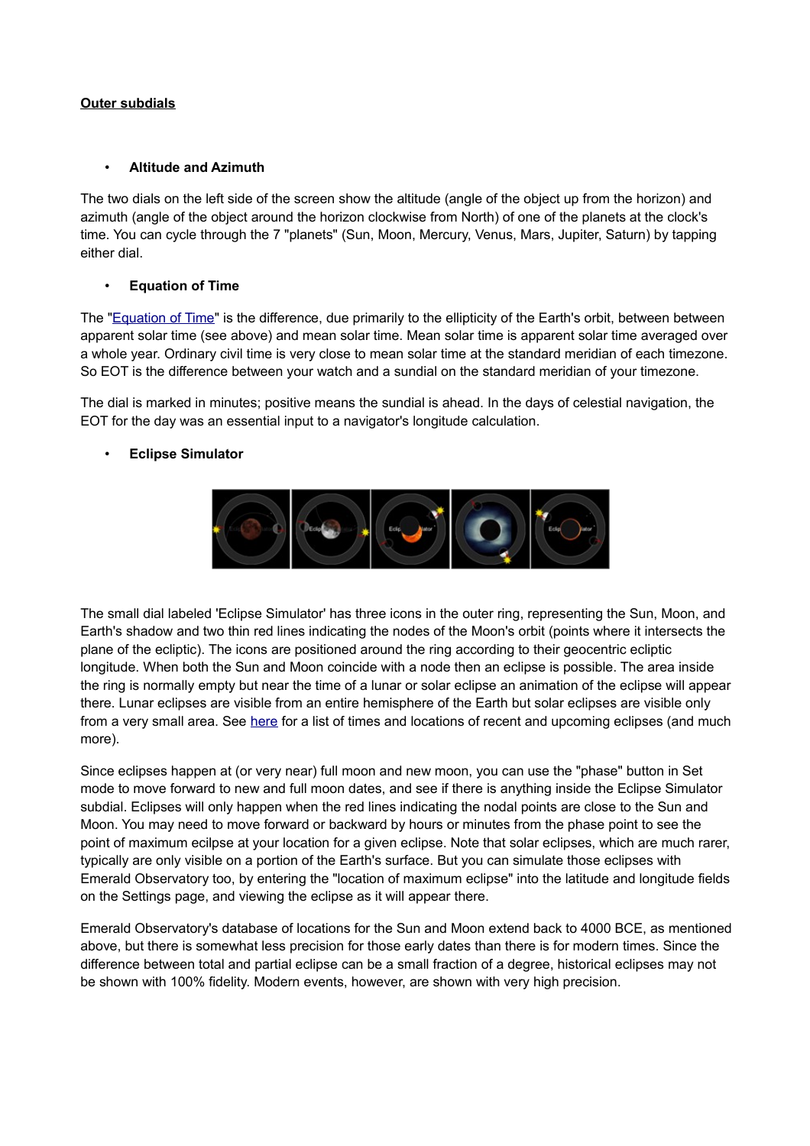## **Outer subdials**

### • **Altitude and Azimuth**

The two dials on the left side of the screen show the altitude (angle of the object up from the horizon) and azimuth (angle of the object around the horizon clockwise from North) of one of the planets at the clock's time. You can cycle through the 7 "planets" (Sun, Moon, Mercury, Venus, Mars, Jupiter, Saturn) by tapping either dial.

## • **Equation of Time**

The ["Equation of Time"](http://en.wikipedia.org/wiki/Equation_of_time) is the difference, due primarily to the ellipticity of the Earth's orbit, between between apparent solar time (see above) and mean solar time. Mean solar time is apparent solar time averaged over a whole year. Ordinary civil time is very close to mean solar time at the standard meridian of each timezone. So EOT is the difference between your watch and a sundial on the standard meridian of your timezone.

The dial is marked in minutes; positive means the sundial is ahead. In the days of celestial navigation, the EOT for the day was an essential input to a navigator's longitude calculation.

## • **Eclipse Simulator**



The small dial labeled 'Eclipse Simulator' has three icons in the outer ring, representing the Sun, Moon, and Earth's shadow and two thin red lines indicating the nodes of the Moon's orbit (points where it intersects the plane of the ecliptic). The icons are positioned around the ring according to their geocentric ecliptic longitude. When both the Sun and Moon coincide with a node then an eclipse is possible. The area inside the ring is normally empty but near the time of a lunar or solar eclipse an animation of the eclipse will appear there. Lunar eclipses are visible from an entire hemisphere of the Earth but solar eclipses are visible only from a very small area. See [here](http://eclipse.gsfc.nasa.gov/eclipse.html) for a list of times and locations of recent and upcoming eclipses (and much more).

Since eclipses happen at (or very near) full moon and new moon, you can use the "phase" button in Set mode to move forward to new and full moon dates, and see if there is anything inside the Eclipse Simulator subdial. Eclipses will only happen when the red lines indicating the nodal points are close to the Sun and Moon. You may need to move forward or backward by hours or minutes from the phase point to see the point of maximum ecilpse at your location for a given eclipse. Note that solar eclipses, which are much rarer, typically are only visible on a portion of the Earth's surface. But you can simulate those eclipses with Emerald Observatory too, by entering the "location of maximum eclipse" into the latitude and longitude fields on the Settings page, and viewing the eclipse as it will appear there.

Emerald Observatory's database of locations for the Sun and Moon extend back to 4000 BCE, as mentioned above, but there is somewhat less precision for those early dates than there is for modern times. Since the difference between total and partial eclipse can be a small fraction of a degree, historical eclipses may not be shown with 100% fidelity. Modern events, however, are shown with very high precision.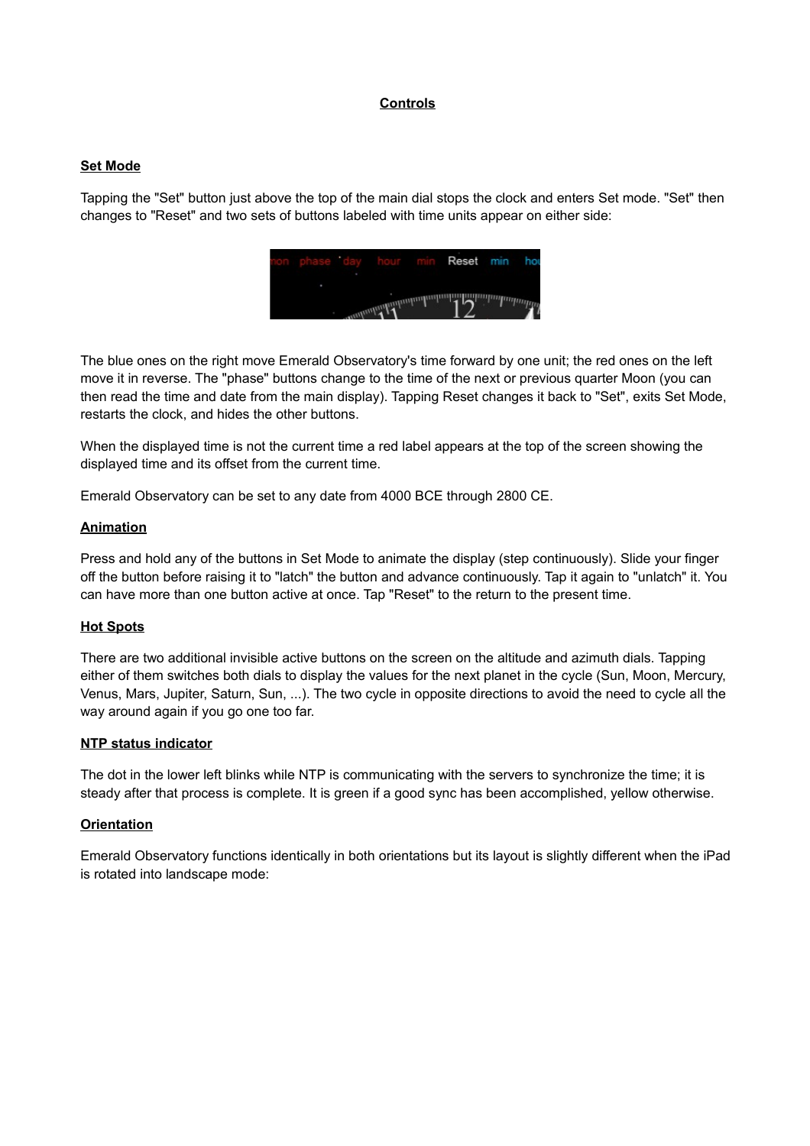## **Controls**

#### <span id="page-5-1"></span>**Set Mode**

Tapping the "Set" button just above the top of the main dial stops the clock and enters Set mode. "Set" then changes to "Reset" and two sets of buttons labeled with time units appear on either side:



The blue ones on the right move Emerald Observatory's time forward by one unit; the red ones on the left move it in reverse. The "phase" buttons change to the time of the next or previous quarter Moon (you can then read the time and date from the main display). Tapping Reset changes it back to "Set", exits Set Mode, restarts the clock, and hides the other buttons.

When the displayed time is not the current time a red label appears at the top of the screen showing the displayed time and its offset from the current time.

Emerald Observatory can be set to any date from 4000 BCE through 2800 CE.

#### <span id="page-5-0"></span>**Animation**

Press and hold any of the buttons in Set Mode to animate the display (step continuously). Slide your finger off the button before raising it to "latch" the button and advance continuously. Tap it again to "unlatch" it. You can have more than one button active at once. Tap "Reset" to the return to the present time.

### **Hot Spots**

There are two additional invisible active buttons on the screen on the altitude and azimuth dials. Tapping either of them switches both dials to display the values for the next planet in the cycle (Sun, Moon, Mercury, Venus, Mars, Jupiter, Saturn, Sun, ...). The two cycle in opposite directions to avoid the need to cycle all the way around again if you go one too far.

#### **NTP status indicator**

The dot in the lower left blinks while NTP is communicating with the servers to synchronize the time; it is steady after that process is complete. It is green if a good sync has been accomplished, yellow otherwise.

#### **Orientation**

Emerald Observatory functions identically in both orientations but its layout is slightly different when the iPad is rotated into landscape mode: